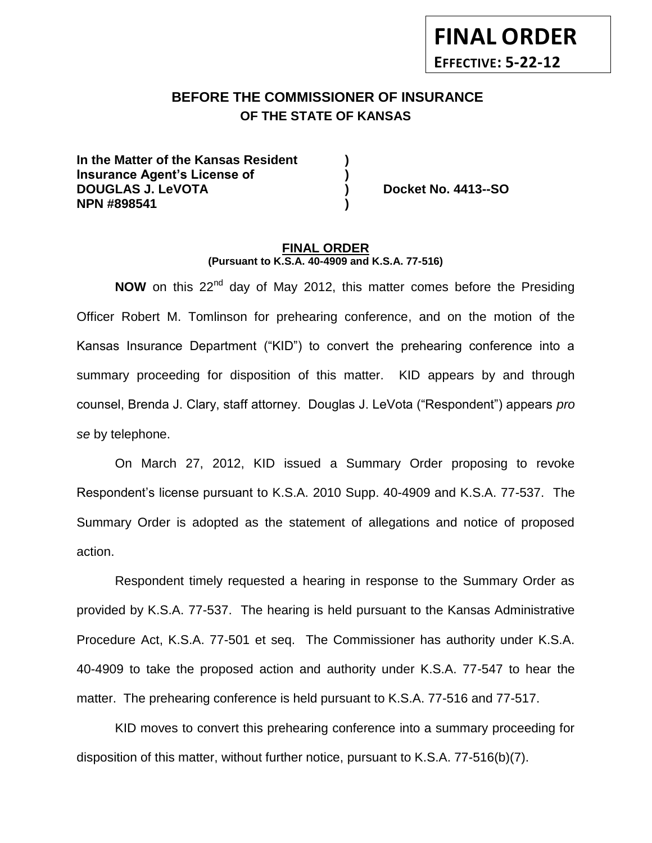# **BEFORE THE COMMISSIONER OF INSURANCE -12OF THE STATE OF KANSAS**

**In the Matter of the Kansas Resident ) Insurance Agent's License of ) DOUGLAS J. LeVOTA ) Docket No. 4413--SO NPN #898541 )**

**FINAL ORDER**

**EFFECTIVE: 5-22-12**

#### **FINAL ORDER (Pursuant to K.S.A. 40-4909 and K.S.A. 77-516)**

**NOW** on this 22<sup>nd</sup> day of May 2012, this matter comes before the Presiding Officer Robert M. Tomlinson for prehearing conference, and on the motion of the Kansas Insurance Department ("KID") to convert the prehearing conference into a summary proceeding for disposition of this matter. KID appears by and through counsel, Brenda J. Clary, staff attorney. Douglas J. LeVota ("Respondent") appears *pro se* by telephone.

On March 27, 2012, KID issued a Summary Order proposing to revoke Respondent's license pursuant to K.S.A. 2010 Supp. 40-4909 and K.S.A. 77-537. The Summary Order is adopted as the statement of allegations and notice of proposed action.

Respondent timely requested a hearing in response to the Summary Order as provided by K.S.A. 77-537. The hearing is held pursuant to the Kansas Administrative Procedure Act, K.S.A. 77-501 et seq. The Commissioner has authority under K.S.A. 40-4909 to take the proposed action and authority under K.S.A. 77-547 to hear the matter. The prehearing conference is held pursuant to K.S.A. 77-516 and 77-517.

KID moves to convert this prehearing conference into a summary proceeding for disposition of this matter, without further notice, pursuant to K.S.A. 77-516(b)(7).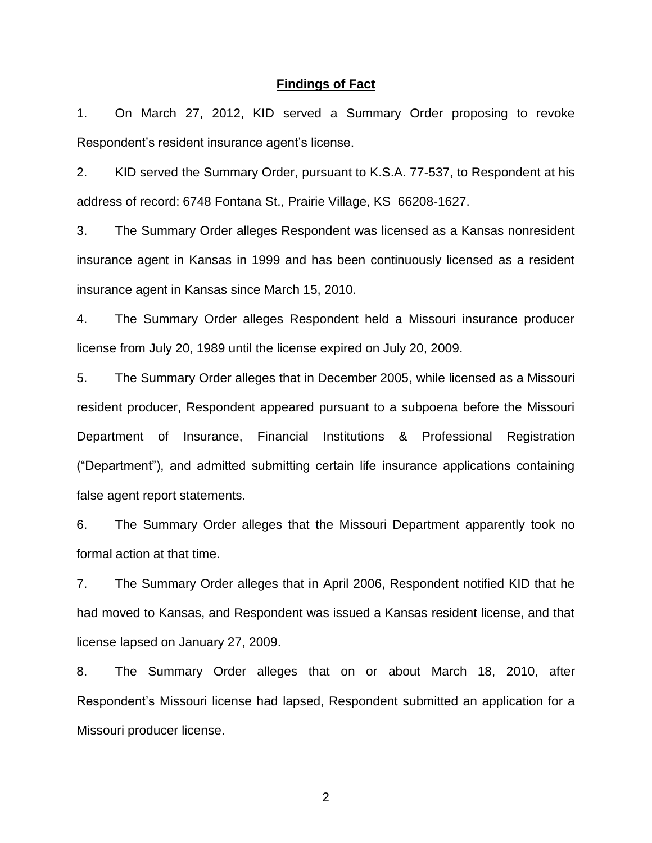### **Findings of Fact**

1. On March 27, 2012, KID served a Summary Order proposing to revoke Respondent's resident insurance agent's license.

2. KID served the Summary Order, pursuant to K.S.A. 77-537, to Respondent at his address of record: 6748 Fontana St., Prairie Village, KS 66208-1627.

3. The Summary Order alleges Respondent was licensed as a Kansas nonresident insurance agent in Kansas in 1999 and has been continuously licensed as a resident insurance agent in Kansas since March 15, 2010.

4. The Summary Order alleges Respondent held a Missouri insurance producer license from July 20, 1989 until the license expired on July 20, 2009.

5. The Summary Order alleges that in December 2005, while licensed as a Missouri resident producer, Respondent appeared pursuant to a subpoena before the Missouri Department of Insurance, Financial Institutions & Professional Registration ("Department"), and admitted submitting certain life insurance applications containing false agent report statements.

6. The Summary Order alleges that the Missouri Department apparently took no formal action at that time.

7. The Summary Order alleges that in April 2006, Respondent notified KID that he had moved to Kansas, and Respondent was issued a Kansas resident license, and that license lapsed on January 27, 2009.

8. The Summary Order alleges that on or about March 18, 2010, after Respondent's Missouri license had lapsed, Respondent submitted an application for a Missouri producer license.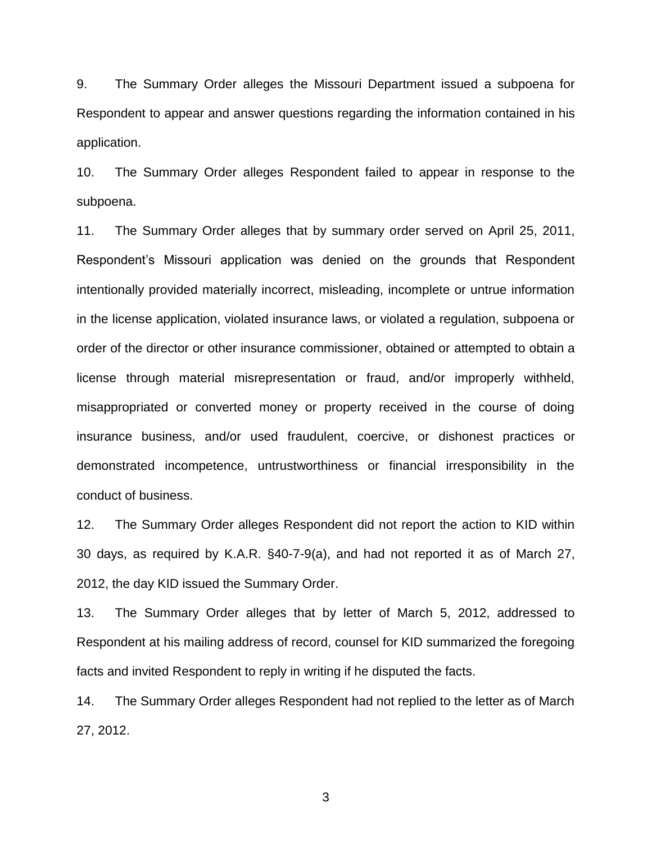9. The Summary Order alleges the Missouri Department issued a subpoena for Respondent to appear and answer questions regarding the information contained in his application.

10. The Summary Order alleges Respondent failed to appear in response to the subpoena.

11. The Summary Order alleges that by summary order served on April 25, 2011, Respondent's Missouri application was denied on the grounds that Respondent intentionally provided materially incorrect, misleading, incomplete or untrue information in the license application, violated insurance laws, or violated a regulation, subpoena or order of the director or other insurance commissioner, obtained or attempted to obtain a license through material misrepresentation or fraud, and/or improperly withheld, misappropriated or converted money or property received in the course of doing insurance business, and/or used fraudulent, coercive, or dishonest practices or demonstrated incompetence, untrustworthiness or financial irresponsibility in the conduct of business.

12. The Summary Order alleges Respondent did not report the action to KID within 30 days, as required by K.A.R. §40-7-9(a), and had not reported it as of March 27, 2012, the day KID issued the Summary Order.

13. The Summary Order alleges that by letter of March 5, 2012, addressed to Respondent at his mailing address of record, counsel for KID summarized the foregoing facts and invited Respondent to reply in writing if he disputed the facts.

14. The Summary Order alleges Respondent had not replied to the letter as of March 27, 2012.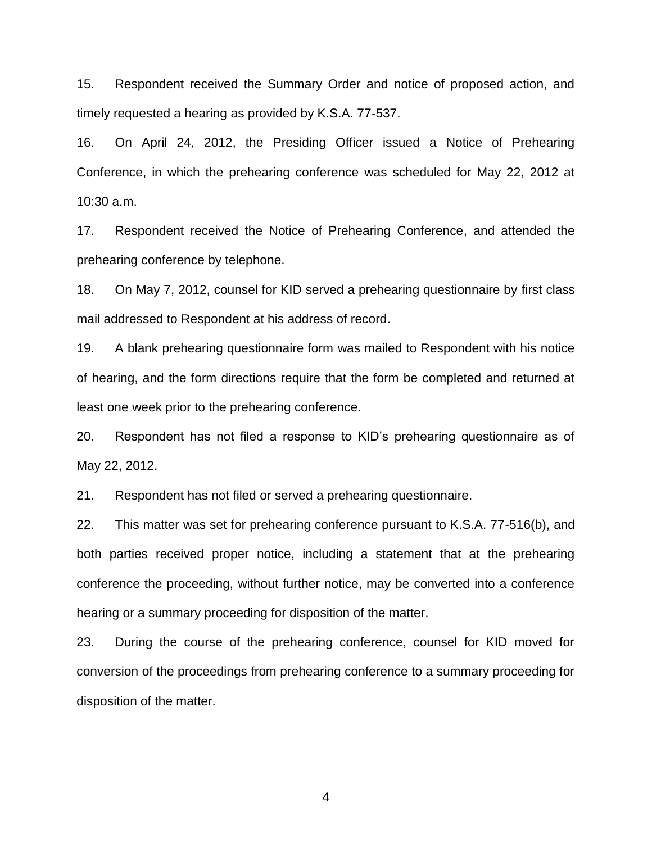15. Respondent received the Summary Order and notice of proposed action, and timely requested a hearing as provided by K.S.A. 77-537.

16. On April 24, 2012, the Presiding Officer issued a Notice of Prehearing Conference, in which the prehearing conference was scheduled for May 22, 2012 at 10:30 a.m.

17. Respondent received the Notice of Prehearing Conference, and attended the prehearing conference by telephone.

18. On May 7, 2012, counsel for KID served a prehearing questionnaire by first class mail addressed to Respondent at his address of record.

19. A blank prehearing questionnaire form was mailed to Respondent with his notice of hearing, and the form directions require that the form be completed and returned at least one week prior to the prehearing conference.

20. Respondent has not filed a response to KID's prehearing questionnaire as of May 22, 2012.

21. Respondent has not filed or served a prehearing questionnaire.

22. This matter was set for prehearing conference pursuant to K.S.A. 77-516(b), and both parties received proper notice, including a statement that at the prehearing conference the proceeding, without further notice, may be converted into a conference hearing or a summary proceeding for disposition of the matter.

23. During the course of the prehearing conference, counsel for KID moved for conversion of the proceedings from prehearing conference to a summary proceeding for disposition of the matter.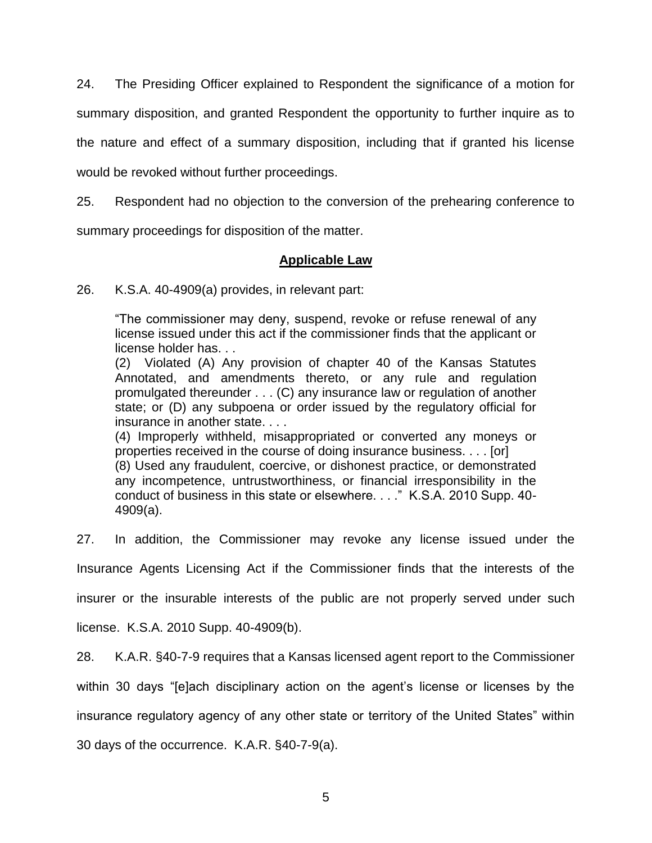24. The Presiding Officer explained to Respondent the significance of a motion for summary disposition, and granted Respondent the opportunity to further inquire as to the nature and effect of a summary disposition, including that if granted his license would be revoked without further proceedings.

25. Respondent had no objection to the conversion of the prehearing conference to

summary proceedings for disposition of the matter.

# **Applicable Law**

26. K.S.A. 40-4909(a) provides, in relevant part:

"The commissioner may deny, suspend, revoke or refuse renewal of any license issued under this act if the commissioner finds that the applicant or license holder has. . .

(2) Violated (A) Any provision of chapter 40 of the Kansas Statutes Annotated, and amendments thereto, or any rule and regulation promulgated thereunder . . . (C) any insurance law or regulation of another state; or (D) any subpoena or order issued by the regulatory official for insurance in another state. . . .

(4) Improperly withheld, misappropriated or converted any moneys or properties received in the course of doing insurance business. . . . [or]

(8) Used any fraudulent, coercive, or dishonest practice, or demonstrated any incompetence, untrustworthiness, or financial irresponsibility in the conduct of business in this state or elsewhere. . . ." K.S.A. 2010 Supp. 40- 4909(a).

27. In addition, the Commissioner may revoke any license issued under the Insurance Agents Licensing Act if the Commissioner finds that the interests of the insurer or the insurable interests of the public are not properly served under such

license. K.S.A. 2010 Supp. 40-4909(b).

28. K.A.R. §40-7-9 requires that a Kansas licensed agent report to the Commissioner

within 30 days "[e]ach disciplinary action on the agent's license or licenses by the

insurance regulatory agency of any other state or territory of the United States" within

30 days of the occurrence. K.A.R. §40-7-9(a).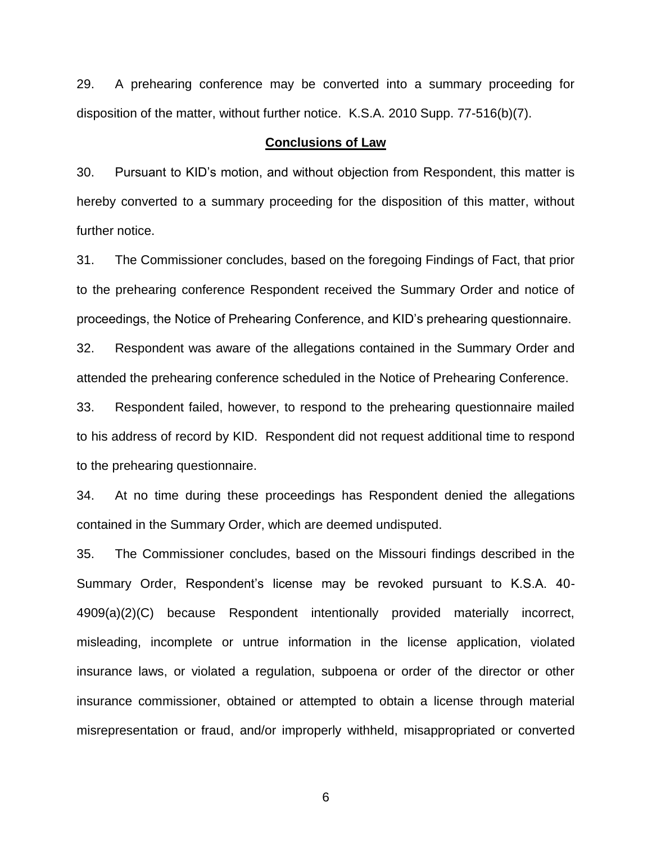29. A prehearing conference may be converted into a summary proceeding for disposition of the matter, without further notice. K.S.A. 2010 Supp. 77-516(b)(7).

### **Conclusions of Law**

30. Pursuant to KID's motion, and without objection from Respondent, this matter is hereby converted to a summary proceeding for the disposition of this matter, without further notice.

31. The Commissioner concludes, based on the foregoing Findings of Fact, that prior to the prehearing conference Respondent received the Summary Order and notice of proceedings, the Notice of Prehearing Conference, and KID's prehearing questionnaire.

32. Respondent was aware of the allegations contained in the Summary Order and attended the prehearing conference scheduled in the Notice of Prehearing Conference.

33. Respondent failed, however, to respond to the prehearing questionnaire mailed to his address of record by KID. Respondent did not request additional time to respond to the prehearing questionnaire.

34. At no time during these proceedings has Respondent denied the allegations contained in the Summary Order, which are deemed undisputed.

35. The Commissioner concludes, based on the Missouri findings described in the Summary Order, Respondent's license may be revoked pursuant to K.S.A. 40- 4909(a)(2)(C) because Respondent intentionally provided materially incorrect, misleading, incomplete or untrue information in the license application, violated insurance laws, or violated a regulation, subpoena or order of the director or other insurance commissioner, obtained or attempted to obtain a license through material misrepresentation or fraud, and/or improperly withheld, misappropriated or converted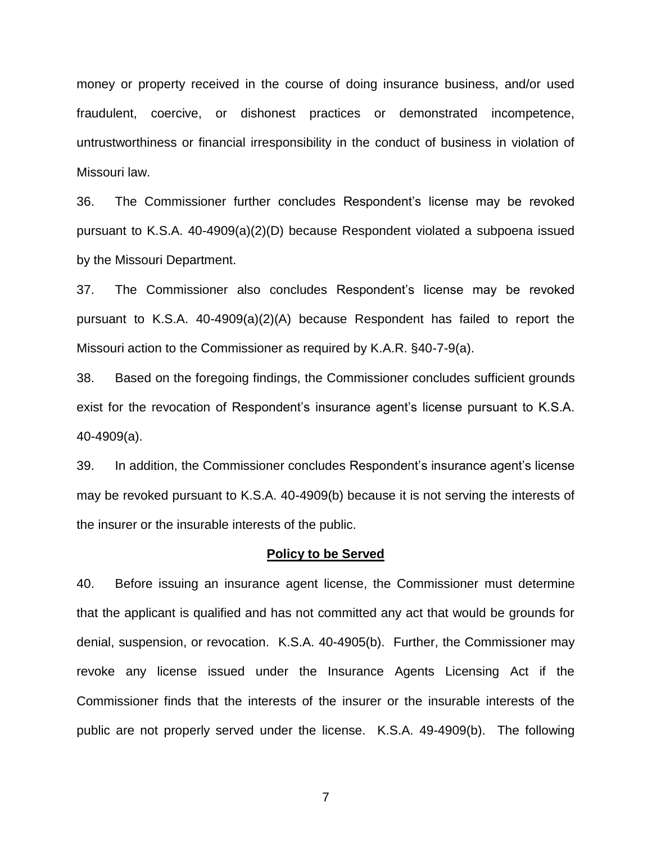money or property received in the course of doing insurance business, and/or used fraudulent, coercive, or dishonest practices or demonstrated incompetence, untrustworthiness or financial irresponsibility in the conduct of business in violation of Missouri law.

36. The Commissioner further concludes Respondent's license may be revoked pursuant to K.S.A. 40-4909(a)(2)(D) because Respondent violated a subpoena issued by the Missouri Department.

37. The Commissioner also concludes Respondent's license may be revoked pursuant to K.S.A. 40-4909(a)(2)(A) because Respondent has failed to report the Missouri action to the Commissioner as required by K.A.R. §40-7-9(a).

38. Based on the foregoing findings, the Commissioner concludes sufficient grounds exist for the revocation of Respondent's insurance agent's license pursuant to K.S.A. 40-4909(a).

39. In addition, the Commissioner concludes Respondent's insurance agent's license may be revoked pursuant to K.S.A. 40-4909(b) because it is not serving the interests of the insurer or the insurable interests of the public.

### **Policy to be Served**

40. Before issuing an insurance agent license, the Commissioner must determine that the applicant is qualified and has not committed any act that would be grounds for denial, suspension, or revocation. K.S.A. 40-4905(b). Further, the Commissioner may revoke any license issued under the Insurance Agents Licensing Act if the Commissioner finds that the interests of the insurer or the insurable interests of the public are not properly served under the license. K.S.A. 49-4909(b). The following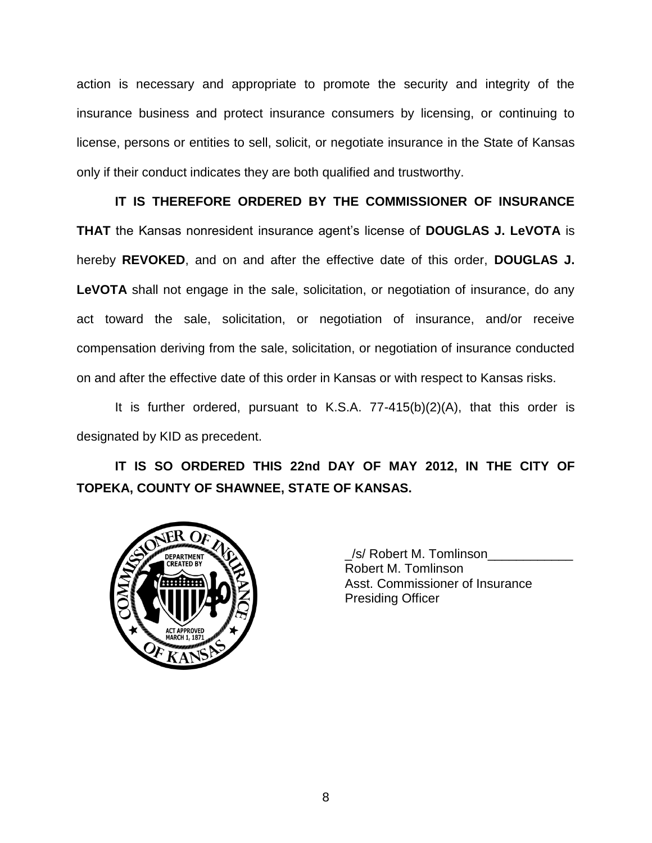action is necessary and appropriate to promote the security and integrity of the insurance business and protect insurance consumers by licensing, or continuing to license, persons or entities to sell, solicit, or negotiate insurance in the State of Kansas only if their conduct indicates they are both qualified and trustworthy.

**IT IS THEREFORE ORDERED BY THE COMMISSIONER OF INSURANCE THAT** the Kansas nonresident insurance agent's license of **DOUGLAS J. LeVOTA** is hereby **REVOKED**, and on and after the effective date of this order, **DOUGLAS J. LeVOTA** shall not engage in the sale, solicitation, or negotiation of insurance, do any act toward the sale, solicitation, or negotiation of insurance, and/or receive compensation deriving from the sale, solicitation, or negotiation of insurance conducted on and after the effective date of this order in Kansas or with respect to Kansas risks.

It is further ordered, pursuant to K.S.A. 77-415(b)(2)(A), that this order is designated by KID as precedent.

**IT IS SO ORDERED THIS 22nd DAY OF MAY 2012, IN THE CITY OF TOPEKA, COUNTY OF SHAWNEE, STATE OF KANSAS.**



\_/s/ Robert M. Tomlinson\_\_\_\_\_\_\_\_\_\_\_\_ Robert M. Tomlinson Asst. Commissioner of Insurance Presiding Officer